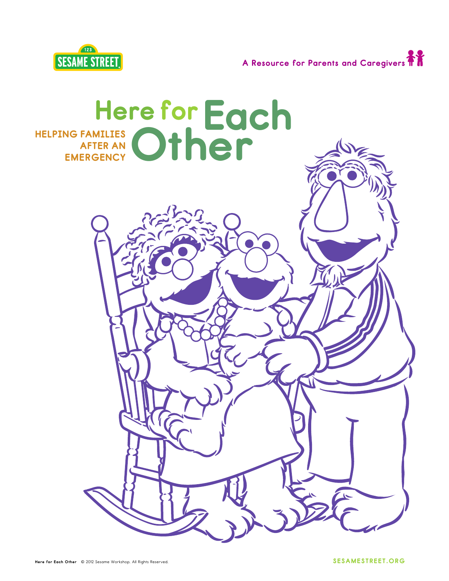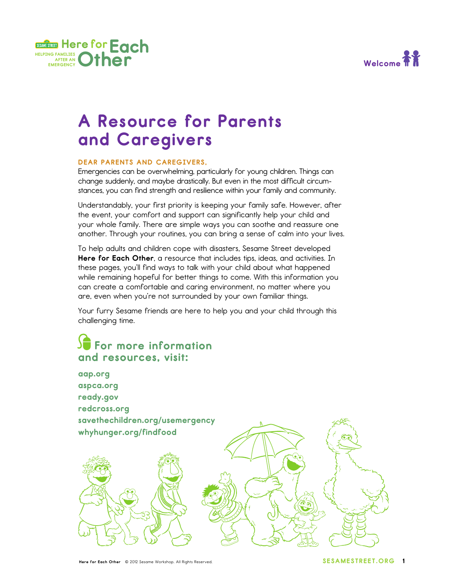



## **A Resource for Parents and Caregivers**

#### **DEAR PARENTS AND CAREGIVERS,**

Emergencies can be overwhelming, particularly for young children. Things can change suddenly, and maybe drastically. But even in the most difficult circumstances, you can find strength and resilience within your family and community.

Understandably, your first priority is keeping your family safe. However, after the event, your comfort and support can significantly help your child and your whole family. There are simple ways you can soothe and reassure one another. Through your routines, you can bring a sense of calm into your lives.

To help adults and children cope with disasters, Sesame Street developed **Here for Each Other**, a resource that includes tips, ideas, and activities. In these pages, you'll find ways to talk with your child about what happened while remaining hopeful for better things to come. With this information you can create a comfortable and caring environment, no matter where you are, even when you're not surrounded by your own familiar things.

Your furry Sesame friends are here to help you and your child through this challenging time.

### **For more information and resources, visit:**

**aap.org aspca.org ready.gov redcross.org savethechildren.org/usemergency whyhunger.org/findfood**

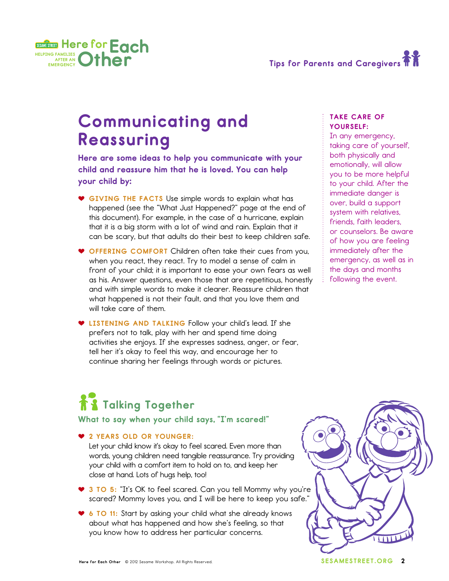



## **Communicating and Reassuring**

**Here are some ideas to help you communicate with your child and reassure him that he is loved. You can help your child by:**

- **GIVING THE FACTS** Use simple words to explain what has happened (see the "What Just Happened?" page at the end of this document). For example, in the case of a hurricane, explain that it is a big storm with a lot of wind and rain. Explain that it can be scary, but that adults do their best to keep children safe.
- **THE OFFERING COMFORT** Children often take their cues from you, when you react, they react. Try to model a sense of calm in front of your child; it is important to ease your own fears as well as his. Answer questions, even those that are repetitious, honestly and with simple words to make it clearer. Reassure children that what happened is not their fault, and that you love them and will take care of them.
- $\bullet$  **LISTENING AND TALKING** Follow your child's lead. If she prefers not to talk, play with her and spend time doing activities she enjoys. If she expresses sadness, anger, or fear, tell her it's okay to feel this way, and encourage her to continue sharing her feelings through words or pictures.

### **TAKE CARE OF YOURSELF:**

In any emergency, taking care of yourself, both physically and emotionally, will allow you to be more helpful to your child. After the immediate danger is over, build a support system with relatives, friends, faith leaders, or counselors. Be aware of how you are feeling immediately after the emergency, as well as in the days and months following the event.

# **Talking Together**

**What to say when your child says, "I'm scared!"**

### - **2 YEARS OLD OR YOUNGER:**

Let your child know it's okay to feel scared. Even more than words, young children need tangible reassurance. Try providing your child with a comfort item to hold on to, and keep her close at hand. Lots of hugs help, too!

- **3 TO 5:** "It's OK to feel scared. Can you tell Mommy why you're scared? Mommy loves you, and I will be here to keep you safe."
- **6 TO 11:** Start by asking your child what she already knows about what has happened and how she's feeling, so that you know how to address her particular concerns.

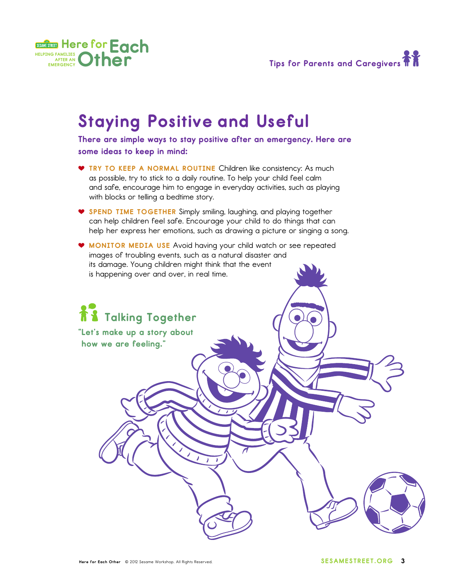

## **Staying Positive and Useful**

**There are simple ways to stay positive after an emergency. Here are some ideas to keep in mind:**

- $\bullet$  TRY TO KEEP A NORMAL ROUTINE Children like consistency: As much as possible, try to stick to a daily routine. To help your child feel calm and safe, encourage him to engage in everyday activities, such as playing with blocks or telling a bedtime story.
- **SPEND TIME TOGETHER** Simply smiling, laughing, and playing together can help children feel safe. Encourage your child to do things that can help her express her emotions, such as drawing a picture or singing a song.
- **MONITOR MEDIA USE** Avoid having your child watch or see repeated images of troubling events, such as a natural disaster and its damage. Young children might think that the event is happening over and over, in real time.

**Talking Together**

**"Let's make up a story about**

**how we are feeling."**